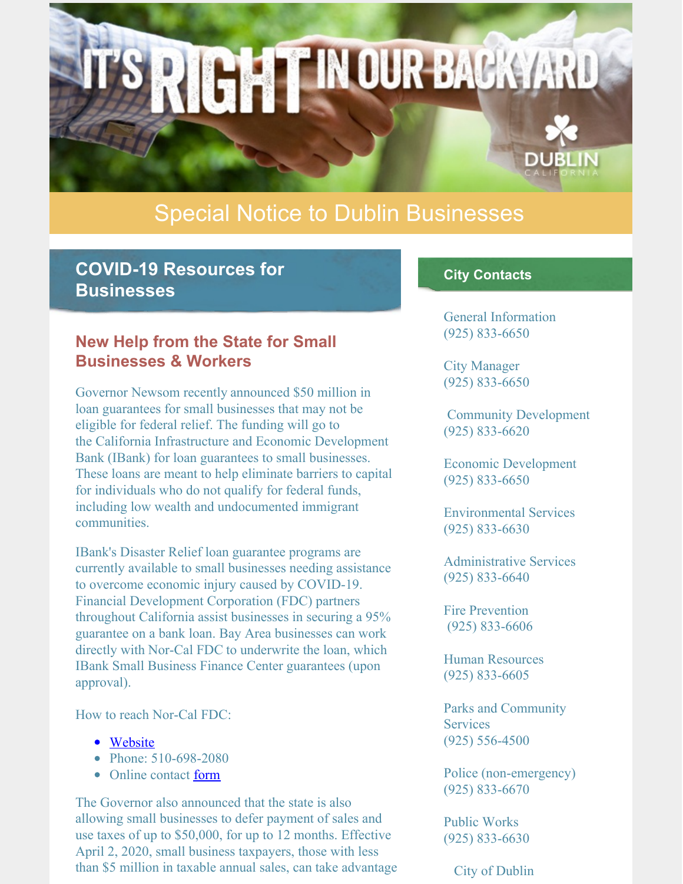# Special Notice to Dublin Businesses

**RIGHTINOUR BACKYARD** 

# **COVID-19 Resources for Businesses**

### **New Help from the State for Small Businesses & Workers**

Governor Newsom recently announced \$50 million in loan guarantees for small businesses that may not be eligible for federal relief. The funding will go to the California Infrastructure and Economic Development Bank (IBank) for loan guarantees to small businesses. These loans are meant to help eliminate barriers to capital for individuals who do not qualify for federal funds, including low wealth and undocumented immigrant communities.

IBank's Disaster Relief loan guarantee programs are currently available to small businesses needing assistance to overcome economic injury caused by COVID-19. Financial Development Corporation (FDC) partners throughout California assist businesses in securing a 95% guarantee on a bank loan. Bay Area businesses can work directly with Nor-Cal FDC to underwrite the loan, which IBank Small Business Finance Center guarantees (upon approval).

How to reach Nor-Cal FDC:

- [Website](http://nor-calfdc.org)
- Phone: 510-698-2080
- Online contact [form](http://nor-calfdc.org/contact/contact_form)

The Governor also announced that the state is also allowing small businesses to defer payment of sales and use taxes of up to \$50,000, for up to 12 months. Effective April 2, 2020, small business taxpayers, those with less than \$5 million in taxable annual sales, can take advantage

#### **City Contacts**

General Information (925) 833-6650

City Manager (925) 833-6650

Community Development (925) 833-6620

Economic Development (925) 833-6650

Environmental Services (925) 833-6630

Administrative Services (925) 833-6640

Fire Prevention (925) 833-6606

Human Resources (925) 833-6605

Parks and Community **Services** (925) 556-4500

Police (non-emergency) (925) 833-6670

Public Works (925) 833-6630

City of Dublin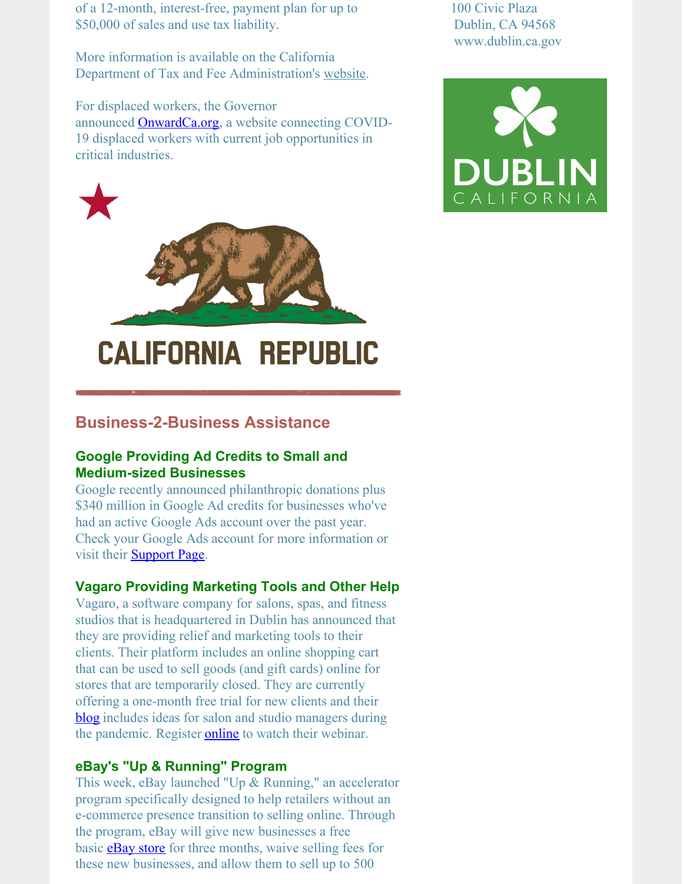of a 12-month, interest-free, payment plan for up to \$50,000 of sales and use tax liability.

More information is available on the California Department of Tax and Fee Administration's [website](https://www.cdtfa.ca.gov/services/covid19.htm#small-business-payment).

For displaced workers, the Governor announced **[OnwardCa.org](http://onwardca.org)**, a website connecting COVID-19 displaced workers with current job opportunities in critical industries.



# **Business-2-Business Assistance**

#### **Google Providing Ad Credits to Small and Medium-sized Businesses**

Google recently announced philanthropic donations plus \$340 million in Google Ad credits for businesses who've had an active Google Ads account over the past year. Check your Google Ads account for more information or visit their **[Support](https://support.google.com/google-ads/answer/9803410) Page**.

#### **Vagaro Providing Marketing Tools and Other Help**

Vagaro, a software company for salons, spas, and fitness studios that is headquartered in Dublin has announced that they are providing relief and marketing tools to their clients. Their platform includes an online shopping cart that can be used to sell goods (and gift cards) online for stores that are temporarily closed. They are currently offering a one-month free trial for new clients and their [blog](https://blog.vagaro.com/) includes ideas for salon and studio managers during the pandemic. Register **[online](https://register.gotowebinar.com/register/2792002376951898894)** to watch their webinar.

#### **eBay's "Up & Running" Program**

This week, eBay launched "Up & Running," an accelerator program specifically designed to help retailers without an e-commerce presence transition to selling online. Through the program, eBay will give new businesses a free basic **[eBay](https://pages.ebay.com/seller-center/run-your-store/why-get-an-ebay-store.html) store** for three months, waive selling fees for these new businesses, and allow them to sell up to 500

100 Civic Plaza Dublin, CA 94568 www.dublin.ca.gov

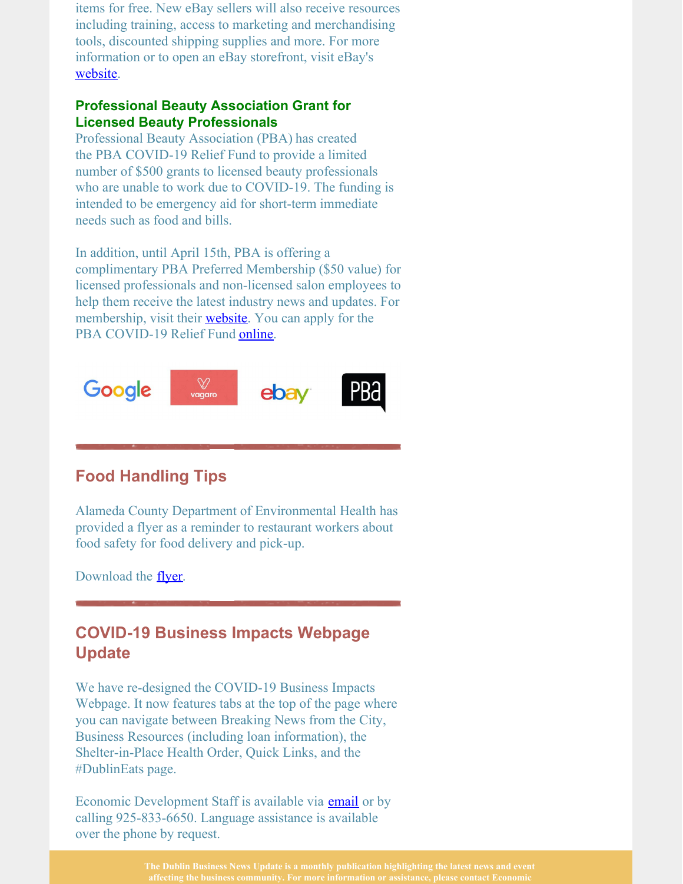items for free. New eBay sellers will also receive resources including training, access to marketing and merchandising tools, discounted shipping supplies and more. For more information or to open an eBay storefront, visit eBay's [website](http://ebay.com/).

#### **Professional Beauty Association Grant for Licensed Beauty Professionals**

Professional Beauty Association (PBA) has created the PBA COVID-19 Relief Fund to provide a limited number of \$500 grants to licensed beauty professionals who are unable to work due to COVID-19. The funding is intended to be emergency aid for short-term immediate needs such as food and bills.

In addition, until April 15th, PBA is offering a complimentary PBA Preferred Membership (\$50 value) for licensed professionals and non-licensed salon employees to help them receive the latest industry news and updates. For membership, visit their **[website](https://www.probeauty.org/)**. You can apply for the PBA COVID-19 Relief Fund [online](https://www.probeauty.org/pba-charities/covid-19-relief-fund).



# **Food Handling Tips**

Alameda County Department of Environmental Health has provided a flyer as a reminder to restaurant workers about food safety for food delivery and pick-up.

Download the <u>[flyer](https://deh.acgov.org/operations-assets/docs/foodsafety/DeliveryFoodSafety.pdf)</u>.

# **COVID-19 Business Impacts Webpage Update**

We have re-designed the COVID-19 Business Impacts Webpage. It now features tabs at the top of the page where you can navigate between Breaking News from the City, Business Resources (including loan information), the Shelter-in-Place Health Order, Quick Links, and the #DublinEats page.

Economic Development Staff is available via **[email](mailto:economic.development@dublin.ca.gov)** or by calling 925-833-6650. Language assistance is available over the phone by request.